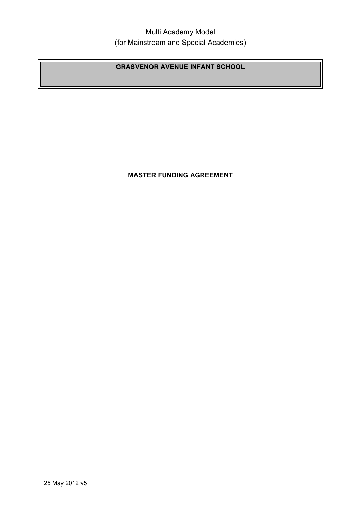# **GRASVENOR AVENUE INFANT SCHOOL**

**MASTER FUNDING AGREEMENT**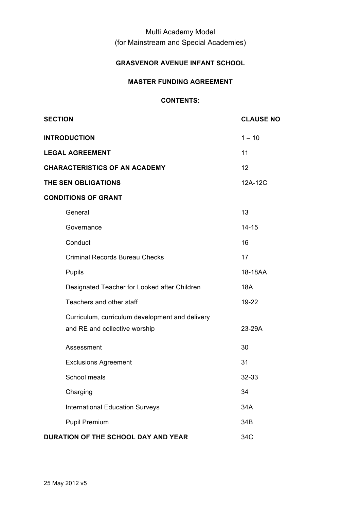# Multi Academy Model (for Mainstream and Special Academies)

# **GRASVENOR AVENUE INFANT SCHOOL**

## **MASTER FUNDING AGREEMENT**

## **CONTENTS:**

| <b>SECTION</b>                                                                   | <b>CLAUSE NO</b> |
|----------------------------------------------------------------------------------|------------------|
| <b>INTRODUCTION</b>                                                              | $1 - 10$         |
| <b>LEGAL AGREEMENT</b>                                                           | 11               |
| <b>CHARACTERISTICS OF AN ACADEMY</b>                                             | 12               |
| THE SEN OBLIGATIONS                                                              | 12A-12C          |
| <b>CONDITIONS OF GRANT</b>                                                       |                  |
| General                                                                          | 13               |
| Governance                                                                       | $14 - 15$        |
| Conduct                                                                          | 16               |
| <b>Criminal Records Bureau Checks</b>                                            | 17               |
| Pupils                                                                           | 18-18AA          |
| Designated Teacher for Looked after Children                                     | <b>18A</b>       |
| Teachers and other staff                                                         | 19-22            |
| Curriculum, curriculum development and delivery<br>and RE and collective worship | 23-29A           |
| Assessment                                                                       | 30               |
| <b>Exclusions Agreement</b>                                                      | 31               |
| School meals                                                                     | 32-33            |
| Charging                                                                         | 34               |
| <b>International Education Surveys</b>                                           | 34A              |
| <b>Pupil Premium</b>                                                             | 34B              |
| DURATION OF THE SCHOOL DAY AND YEAR                                              | 34C              |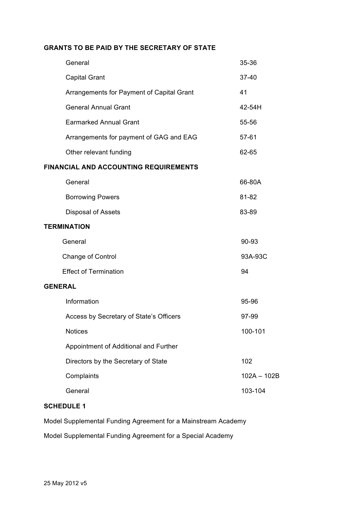# **GRANTS TO BE PAID BY THE SECRETARY OF STATE**

|                                              | General                                   | 35-36         |  |
|----------------------------------------------|-------------------------------------------|---------------|--|
|                                              | <b>Capital Grant</b>                      | 37-40         |  |
|                                              | Arrangements for Payment of Capital Grant | 41            |  |
|                                              | <b>General Annual Grant</b>               | 42-54H        |  |
|                                              | <b>Earmarked Annual Grant</b>             | 55-56         |  |
|                                              | Arrangements for payment of GAG and EAG   | 57-61         |  |
|                                              | Other relevant funding                    | 62-65         |  |
| <b>FINANCIAL AND ACCOUNTING REQUIREMENTS</b> |                                           |               |  |
|                                              | General                                   | 66-80A        |  |
|                                              | <b>Borrowing Powers</b>                   | 81-82         |  |
|                                              | <b>Disposal of Assets</b>                 | 83-89         |  |
|                                              | <b>TERMINATION</b>                        |               |  |
|                                              | General                                   | 90-93         |  |
|                                              | Change of Control                         | 93A-93C       |  |
|                                              | <b>Effect of Termination</b>              | 94            |  |
| <b>GENERAL</b>                               |                                           |               |  |
|                                              | Information                               | 95-96         |  |
|                                              | Access by Secretary of State's Officers   | 97-99         |  |
|                                              | <b>Notices</b>                            | 100-101       |  |
|                                              | Appointment of Additional and Further     |               |  |
|                                              | Directors by the Secretary of State       | 102           |  |
|                                              | Complaints                                | $102A - 102B$ |  |
|                                              | General                                   | 103-104       |  |
|                                              |                                           |               |  |

# **SCHEDULE 1**

Model Supplemental Funding Agreement for a Mainstream Academy

Model Supplemental Funding Agreement for a Special Academy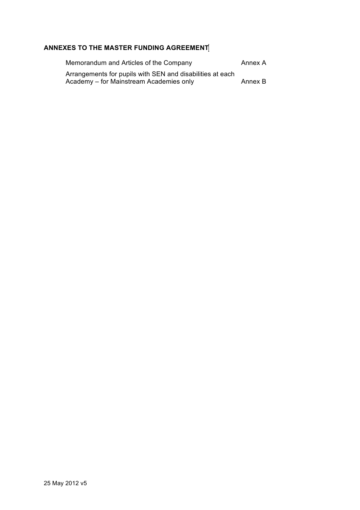# **ANNEXES TO THE MASTER FUNDING AGREEMENT**

| Memorandum and Articles of the Company                    | Annex A |
|-----------------------------------------------------------|---------|
| Arrangements for pupils with SEN and disabilities at each |         |
| Academy – for Mainstream Academies only                   | Annex B |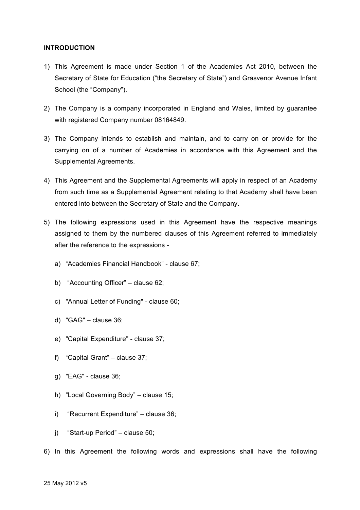#### **INTRODUCTION**

- 1) This Agreement is made under Section 1 of the Academies Act 2010, between the Secretary of State for Education ("the Secretary of State") and Grasvenor Avenue Infant School (the "Company").
- 2) The Company is a company incorporated in England and Wales, limited by guarantee with registered Company number 08164849.
- 3) The Company intends to establish and maintain, and to carry on or provide for the carrying on of a number of Academies in accordance with this Agreement and the Supplemental Agreements.
- 4) This Agreement and the Supplemental Agreements will apply in respect of an Academy from such time as a Supplemental Agreement relating to that Academy shall have been entered into between the Secretary of State and the Company.
- 5) The following expressions used in this Agreement have the respective meanings assigned to them by the numbered clauses of this Agreement referred to immediately after the reference to the expressions
	- a) "Academies Financial Handbook" clause 67;
	- b) "Accounting Officer" clause 62;
	- c) "Annual Letter of Funding" clause 60;
	- d) "GAG" clause 36;
	- e) "Capital Expenditure" clause 37;
	- f) "Capital Grant" clause 37;
	- g) "EAG" clause 36;
	- h) "Local Governing Body" clause 15;
	- i) "Recurrent Expenditure" clause 36;
	- j) "Start-up Period" clause 50;
- 6) In this Agreement the following words and expressions shall have the following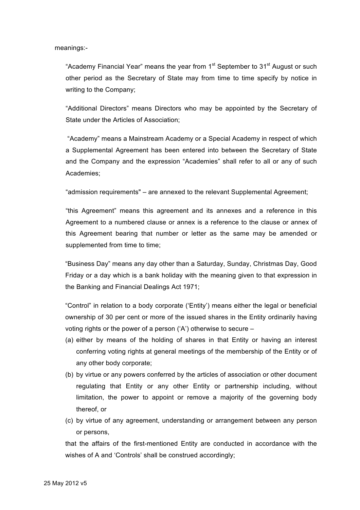meanings:-

"Academy Financial Year" means the year from  $1<sup>st</sup>$  September to  $31<sup>st</sup>$  August or such other period as the Secretary of State may from time to time specify by notice in writing to the Company;

"Additional Directors" means Directors who may be appointed by the Secretary of State under the Articles of Association;

"Academy" means a Mainstream Academy or a Special Academy in respect of which a Supplemental Agreement has been entered into between the Secretary of State and the Company and the expression "Academies" shall refer to all or any of such Academies;

"admission requirements" – are annexed to the relevant Supplemental Agreement;

"this Agreement" means this agreement and its annexes and a reference in this Agreement to a numbered clause or annex is a reference to the clause or annex of this Agreement bearing that number or letter as the same may be amended or supplemented from time to time;

"Business Day" means any day other than a Saturday, Sunday, Christmas Day, Good Friday or a day which is a bank holiday with the meaning given to that expression in the Banking and Financial Dealings Act 1971;

"Control" in relation to a body corporate ('Entity') means either the legal or beneficial ownership of 30 per cent or more of the issued shares in the Entity ordinarily having voting rights or the power of a person ('A') otherwise to secure –

- (a) either by means of the holding of shares in that Entity or having an interest conferring voting rights at general meetings of the membership of the Entity or of any other body corporate;
- (b) by virtue or any powers conferred by the articles of association or other document regulating that Entity or any other Entity or partnership including, without limitation, the power to appoint or remove a majority of the governing body thereof, or
- (c) by virtue of any agreement, understanding or arrangement between any person or persons,

that the affairs of the first-mentioned Entity are conducted in accordance with the wishes of A and 'Controls' shall be construed accordingly;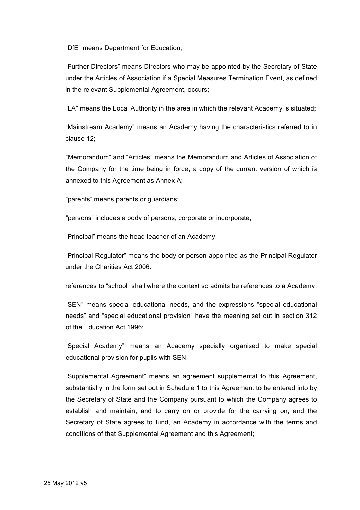"DfE" means Department for Education;

"Further Directors" means Directors who may be appointed by the Secretary of State under the Articles of Association if a Special Measures Termination Event, as defined in the relevant Supplemental Agreement, occurs;

"LA" means the Local Authority in the area in which the relevant Academy is situated;

"Mainstream Academy" means an Academy having the characteristics referred to in clause 12;

"Memorandum" and "Articles" means the Memorandum and Articles of Association of the Company for the time being in force, a copy of the current version of which is annexed to this Agreement as Annex A;

"parents" means parents or guardians;

"persons" includes a body of persons, corporate or incorporate;

"Principal" means the head teacher of an Academy;

"Principal Regulator" means the body or person appointed as the Principal Regulator under the Charities Act 2006.

references to "school" shall where the context so admits be references to a Academy;

"SEN" means special educational needs, and the expressions "special educational needs" and "special educational provision" have the meaning set out in section 312 of the Education Act 1996;

"Special Academy" means an Academy specially organised to make special educational provision for pupils with SEN;

"Supplemental Agreement" means an agreement supplemental to this Agreement, substantially in the form set out in Schedule 1 to this Agreement to be entered into by the Secretary of State and the Company pursuant to which the Company agrees to establish and maintain, and to carry on or provide for the carrying on, and the Secretary of State agrees to fund, an Academy in accordance with the terms and conditions of that Supplemental Agreement and this Agreement;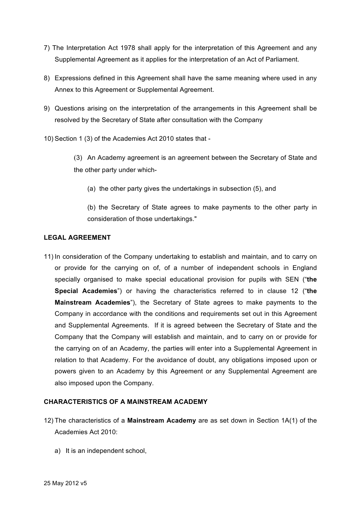- 7) The Interpretation Act 1978 shall apply for the interpretation of this Agreement and any Supplemental Agreement as it applies for the interpretation of an Act of Parliament.
- 8) Expressions defined in this Agreement shall have the same meaning where used in any Annex to this Agreement or Supplemental Agreement.
- 9) Questions arising on the interpretation of the arrangements in this Agreement shall be resolved by the Secretary of State after consultation with the Company
- 10) Section 1 (3) of the Academies Act 2010 states that
	- (3) An Academy agreement is an agreement between the Secretary of State and the other party under which-
		- (a) the other party gives the undertakings in subsection (5), and
		- (b) the Secretary of State agrees to make payments to the other party in consideration of those undertakings."

## **LEGAL AGREEMENT**

11) In consideration of the Company undertaking to establish and maintain, and to carry on or provide for the carrying on of, of a number of independent schools in England specially organised to make special educational provision for pupils with SEN ("**the Special Academies**") or having the characteristics referred to in clause 12 ("**the Mainstream Academies**"), the Secretary of State agrees to make payments to the Company in accordance with the conditions and requirements set out in this Agreement and Supplemental Agreements. If it is agreed between the Secretary of State and the Company that the Company will establish and maintain, and to carry on or provide for the carrying on of an Academy, the parties will enter into a Supplemental Agreement in relation to that Academy. For the avoidance of doubt, any obligations imposed upon or powers given to an Academy by this Agreement or any Supplemental Agreement are also imposed upon the Company.

## **CHARACTERISTICS OF A MAINSTREAM ACADEMY**

- 12) The characteristics of a **Mainstream Academy** are as set down in Section 1A(1) of the Academies Act 2010:
	- a) It is an independent school,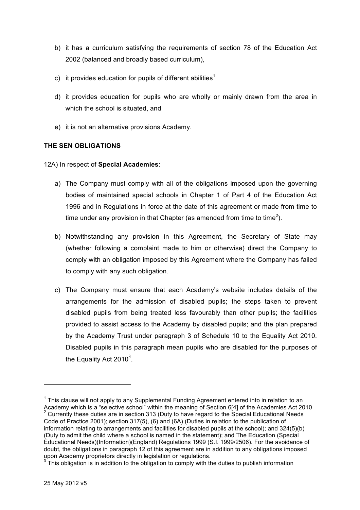- b) it has a curriculum satisfying the requirements of section 78 of the Education Act 2002 (balanced and broadly based curriculum),
- c) it provides education for pupils of different abilities<sup>1</sup>
- d) it provides education for pupils who are wholly or mainly drawn from the area in which the school is situated, and
- e) it is not an alternative provisions Academy.

## **THE SEN OBLIGATIONS**

12A) In respect of **Special Academies**:

- a) The Company must comply with all of the obligations imposed upon the governing bodies of maintained special schools in Chapter 1 of Part 4 of the Education Act 1996 and in Regulations in force at the date of this agreement or made from time to time under any provision in that Chapter (as amended from time to time<sup>2</sup>).
- b) Notwithstanding any provision in this Agreement, the Secretary of State may (whether following a complaint made to him or otherwise) direct the Company to comply with an obligation imposed by this Agreement where the Company has failed to comply with any such obligation.
- c) The Company must ensure that each Academy's website includes details of the arrangements for the admission of disabled pupils; the steps taken to prevent disabled pupils from being treated less favourably than other pupils; the facilities provided to assist access to the Academy by disabled pupils; and the plan prepared by the Academy Trust under paragraph 3 of Schedule 10 to the Equality Act 2010. Disabled pupils in this paragraph mean pupils who are disabled for the purposes of the Equality Act 2010<sup>3</sup>.

 $<sup>1</sup>$  This clause will not apply to any Supplemental Funding Agreement entered into in relation to an</sup> Academy which is a "selective school" within the meaning of Section 6[4] of the Academies Act 2010 <sup>2</sup> Currently these duties are in section 313 (Duty to have regard to the Special Educational Needs Code of Practice 2001); section 317(5), (6) and (6A) (Duties in relation to the publication of information relating to arrangements and facilities for disabled pupils at the school); and 324(5)(b) (Duty to admit the child where a school is named in the statement); and The Education (Special Educational Needs)(Information)(England) Regulations 1999 (S.I. 1999/2506). For the avoidance of doubt, the obligations in paragraph 12 of this agreement are in addition to any obligations imposed<br>upon Academy proprietors directly in legislation or regulations.

 $3$  This obligation is in addition to the obligation to comply with the duties to publish information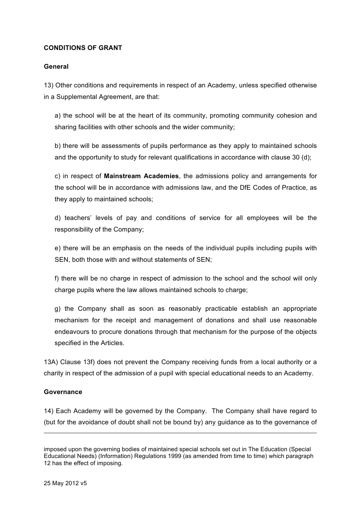## **CONDITIONS OF GRANT**

## **General**

13) Other conditions and requirements in respect of an Academy, unless specified otherwise in a Supplemental Agreement, are that:

a) the school will be at the heart of its community, promoting community cohesion and sharing facilities with other schools and the wider community;

b) there will be assessments of pupils performance as they apply to maintained schools and the opportunity to study for relevant qualifications in accordance with clause 30 (d);

c) in respect of **Mainstream Academies**, the admissions policy and arrangements for the school will be in accordance with admissions law, and the DfE Codes of Practice, as they apply to maintained schools;

d) teachers' levels of pay and conditions of service for all employees will be the responsibility of the Company;

e) there will be an emphasis on the needs of the individual pupils including pupils with SEN, both those with and without statements of SEN;

f) there will be no charge in respect of admission to the school and the school will only charge pupils where the law allows maintained schools to charge;

g) the Company shall as soon as reasonably practicable establish an appropriate mechanism for the receipt and management of donations and shall use reasonable endeavours to procure donations through that mechanism for the purpose of the objects specified in the Articles.

13A) Clause 13f) does not prevent the Company receiving funds from a local authority or a charity in respect of the admission of a pupil with special educational needs to an Academy.

## **Governance**

 $\overline{a}$ 

14) Each Academy will be governed by the Company. The Company shall have regard to (but for the avoidance of doubt shall not be bound by) any guidance as to the governance of

imposed upon the governing bodies of maintained special schools set out in The Education (Special Educational Needs) (Information) Regulations 1999 (as amended from time to time) which paragraph 12 has the effect of imposing.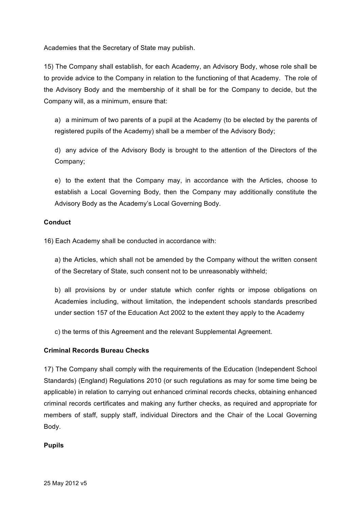Academies that the Secretary of State may publish.

15) The Company shall establish, for each Academy, an Advisory Body, whose role shall be to provide advice to the Company in relation to the functioning of that Academy. The role of the Advisory Body and the membership of it shall be for the Company to decide, but the Company will, as a minimum, ensure that:

a) a minimum of two parents of a pupil at the Academy (to be elected by the parents of registered pupils of the Academy) shall be a member of the Advisory Body;

d) any advice of the Advisory Body is brought to the attention of the Directors of the Company;

e) to the extent that the Company may, in accordance with the Articles, choose to establish a Local Governing Body, then the Company may additionally constitute the Advisory Body as the Academy's Local Governing Body.

## **Conduct**

16) Each Academy shall be conducted in accordance with:

a) the Articles, which shall not be amended by the Company without the written consent of the Secretary of State, such consent not to be unreasonably withheld;

b) all provisions by or under statute which confer rights or impose obligations on Academies including, without limitation, the independent schools standards prescribed under section 157 of the Education Act 2002 to the extent they apply to the Academy

c) the terms of this Agreement and the relevant Supplemental Agreement.

#### **Criminal Records Bureau Checks**

17) The Company shall comply with the requirements of the Education (Independent School Standards) (England) Regulations 2010 (or such regulations as may for some time being be applicable) in relation to carrying out enhanced criminal records checks, obtaining enhanced criminal records certificates and making any further checks, as required and appropriate for members of staff, supply staff, individual Directors and the Chair of the Local Governing Body.

#### **Pupils**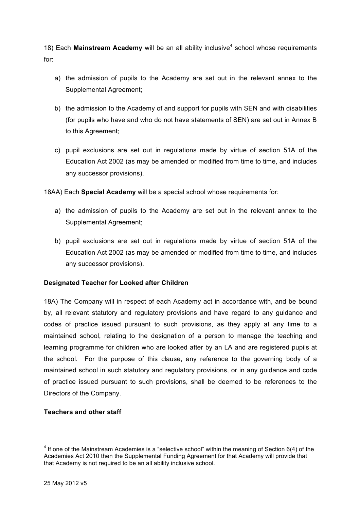18) Each **Mainstream Academy** will be an all ability inclusive4 school whose requirements for:

- a) the admission of pupils to the Academy are set out in the relevant annex to the Supplemental Agreement;
- b) the admission to the Academy of and support for pupils with SEN and with disabilities (for pupils who have and who do not have statements of SEN) are set out in Annex B to this Agreement;
- c) pupil exclusions are set out in regulations made by virtue of section 51A of the Education Act 2002 (as may be amended or modified from time to time, and includes any successor provisions).

18AA) Each **Special Academy** will be a special school whose requirements for:

- a) the admission of pupils to the Academy are set out in the relevant annex to the Supplemental Agreement;
- b) pupil exclusions are set out in regulations made by virtue of section 51A of the Education Act 2002 (as may be amended or modified from time to time, and includes any successor provisions).

# **Designated Teacher for Looked after Children**

18A) The Company will in respect of each Academy act in accordance with, and be bound by, all relevant statutory and regulatory provisions and have regard to any guidance and codes of practice issued pursuant to such provisions, as they apply at any time to a maintained school, relating to the designation of a person to manage the teaching and learning programme for children who are looked after by an LA and are registered pupils at the school. For the purpose of this clause, any reference to the governing body of a maintained school in such statutory and regulatory provisions, or in any guidance and code of practice issued pursuant to such provisions, shall be deemed to be references to the Directors of the Company.

# **Teachers and other staff**

 $\overline{a}$ 

 $4$  If one of the Mainstream Academies is a "selective school" within the meaning of Section 6(4) of the Academies Act 2010 then the Supplemental Funding Agreement for that Academy will provide that that Academy is not required to be an all ability inclusive school.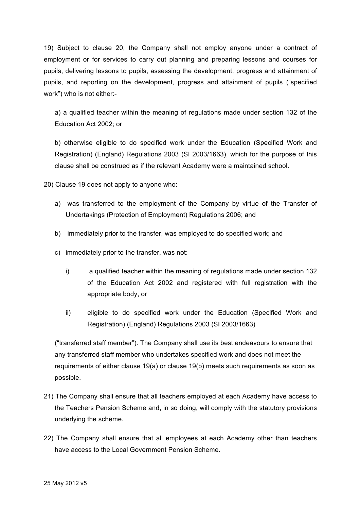19) Subject to clause 20, the Company shall not employ anyone under a contract of employment or for services to carry out planning and preparing lessons and courses for pupils, delivering lessons to pupils, assessing the development, progress and attainment of pupils, and reporting on the development, progress and attainment of pupils ("specified work") who is not either:-

a) a qualified teacher within the meaning of regulations made under section 132 of the Education Act 2002; or

b) otherwise eligible to do specified work under the Education (Specified Work and Registration) (England) Regulations 2003 (SI 2003/1663), which for the purpose of this clause shall be construed as if the relevant Academy were a maintained school.

20) Clause 19 does not apply to anyone who:

- a) was transferred to the employment of the Company by virtue of the Transfer of Undertakings (Protection of Employment) Regulations 2006; and
- b) immediately prior to the transfer, was employed to do specified work; and
- c) immediately prior to the transfer, was not:
	- i) a qualified teacher within the meaning of regulations made under section 132 of the Education Act 2002 and registered with full registration with the appropriate body, or
	- ii) eligible to do specified work under the Education (Specified Work and Registration) (England) Regulations 2003 (SI 2003/1663)

("transferred staff member"). The Company shall use its best endeavours to ensure that any transferred staff member who undertakes specified work and does not meet the requirements of either clause 19(a) or clause 19(b) meets such requirements as soon as possible.

- 21) The Company shall ensure that all teachers employed at each Academy have access to the Teachers Pension Scheme and, in so doing, will comply with the statutory provisions underlying the scheme.
- 22) The Company shall ensure that all employees at each Academy other than teachers have access to the Local Government Pension Scheme.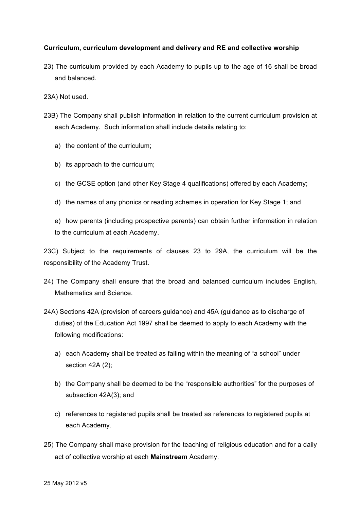## **Curriculum, curriculum development and delivery and RE and collective worship**

23) The curriculum provided by each Academy to pupils up to the age of 16 shall be broad and balanced.

23A) Not used.

- 23B) The Company shall publish information in relation to the current curriculum provision at each Academy. Such information shall include details relating to:
	- a) the content of the curriculum;
	- b) its approach to the curriculum;
	- c) the GCSE option (and other Key Stage 4 qualifications) offered by each Academy;
	- d) the names of any phonics or reading schemes in operation for Key Stage 1; and
	- e) how parents (including prospective parents) can obtain further information in relation to the curriculum at each Academy.

23C) Subject to the requirements of clauses 23 to 29A, the curriculum will be the responsibility of the Academy Trust.

- 24) The Company shall ensure that the broad and balanced curriculum includes English, Mathematics and Science.
- 24A) Sections 42A (provision of careers guidance) and 45A (guidance as to discharge of duties) of the Education Act 1997 shall be deemed to apply to each Academy with the following modifications:
	- a) each Academy shall be treated as falling within the meaning of "a school" under section 42A (2);
	- b) the Company shall be deemed to be the "responsible authorities" for the purposes of subsection 42A(3); and
	- c) references to registered pupils shall be treated as references to registered pupils at each Academy.
- 25) The Company shall make provision for the teaching of religious education and for a daily act of collective worship at each **Mainstream** Academy.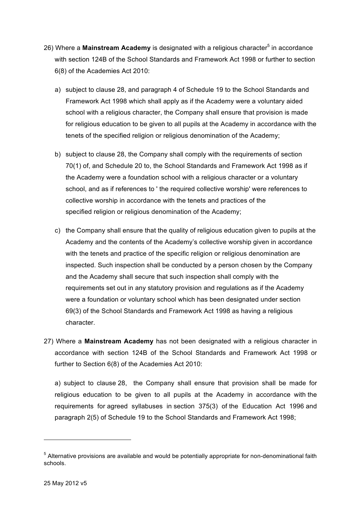- 26) Where a **Mainstream Academy** is designated with a religious character<sup>5</sup> in accordance with section 124B of the School Standards and Framework Act 1998 or further to section 6(8) of the Academies Act 2010:
	- a) subject to clause 28, and paragraph 4 of Schedule 19 to the School Standards and Framework Act 1998 which shall apply as if the Academy were a voluntary aided school with a religious character, the Company shall ensure that provision is made for religious education to be given to all pupils at the Academy in accordance with the tenets of the specified religion or religious denomination of the Academy;
	- b) subject to clause 28, the Company shall comply with the requirements of section 70(1) of, and Schedule 20 to, the School Standards and Framework Act 1998 as if the Academy were a foundation school with a religious character or a voluntary school, and as if references to ' the required collective worship' were references to collective worship in accordance with the tenets and practices of the specified religion or religious denomination of the Academy;
	- c) the Company shall ensure that the quality of religious education given to pupils at the Academy and the contents of the Academy's collective worship given in accordance with the tenets and practice of the specific religion or religious denomination are inspected. Such inspection shall be conducted by a person chosen by the Company and the Academy shall secure that such inspection shall comply with the requirements set out in any statutory provision and regulations as if the Academy were a foundation or voluntary school which has been designated under section 69(3) of the School Standards and Framework Act 1998 as having a religious character.
- 27) Where a **Mainstream Academy** has not been designated with a religious character in accordance with section 124B of the School Standards and Framework Act 1998 or further to Section 6(8) of the Academies Act 2010:

a) subject to clause 28, the Company shall ensure that provision shall be made for religious education to be given to all pupils at the Academy in accordance with the requirements for agreed syllabuses in section 375(3) of the Education Act 1996 and paragraph 2(5) of Schedule 19 to the School Standards and Framework Act 1998;

 $\overline{a}$ 

<sup>&</sup>lt;sup>5</sup> Alternative provisions are available and would be potentially appropriate for non-denominational faith schools.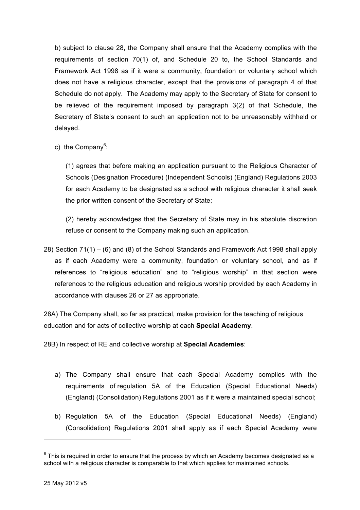b) subject to clause 28, the Company shall ensure that the Academy complies with the requirements of section 70(1) of, and Schedule 20 to, the School Standards and Framework Act 1998 as if it were a community, foundation or voluntary school which does not have a religious character, except that the provisions of paragraph 4 of that Schedule do not apply. The Academy may apply to the Secretary of State for consent to be relieved of the requirement imposed by paragraph 3(2) of that Schedule, the Secretary of State's consent to such an application not to be unreasonably withheld or delayed.

c) the Company<sup>6</sup>:

(1) agrees that before making an application pursuant to the Religious Character of Schools (Designation Procedure) (Independent Schools) (England) Regulations 2003 for each Academy to be designated as a school with religious character it shall seek the prior written consent of the Secretary of State;

(2) hereby acknowledges that the Secretary of State may in his absolute discretion refuse or consent to the Company making such an application.

28) Section 71(1) – (6) and (8) of the School Standards and Framework Act 1998 shall apply as if each Academy were a community, foundation or voluntary school, and as if references to "religious education" and to "religious worship" in that section were references to the religious education and religious worship provided by each Academy in accordance with clauses 26 or 27 as appropriate.

28A) The Company shall, so far as practical, make provision for the teaching of religious education and for acts of collective worship at each **Special Academy**.

28B) In respect of RE and collective worship at **Special Academies**:

- a) The Company shall ensure that each Special Academy complies with the requirements of regulation 5A of the Education (Special Educational Needs) (England) (Consolidation) Regulations 2001 as if it were a maintained special school;
- b) Regulation 5A of the Education (Special Educational Needs) (England) (Consolidation) Regulations 2001 shall apply as if each Special Academy were

 $\overline{a}$ 

 $6$  This is required in order to ensure that the process by which an Academy becomes designated as a school with a religious character is comparable to that which applies for maintained schools.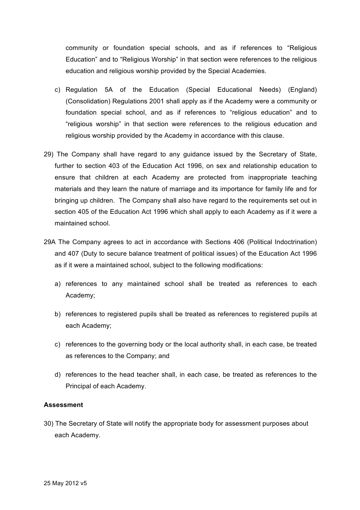community or foundation special schools, and as if references to "Religious Education" and to "Religious Worship" in that section were references to the religious education and religious worship provided by the Special Academies.

- c) Regulation 5A of the Education (Special Educational Needs) (England) (Consolidation) Regulations 2001 shall apply as if the Academy were a community or foundation special school, and as if references to "religious education" and to "religious worship" in that section were references to the religious education and religious worship provided by the Academy in accordance with this clause.
- 29) The Company shall have regard to any guidance issued by the Secretary of State, further to section 403 of the Education Act 1996, on sex and relationship education to ensure that children at each Academy are protected from inappropriate teaching materials and they learn the nature of marriage and its importance for family life and for bringing up children. The Company shall also have regard to the requirements set out in section 405 of the Education Act 1996 which shall apply to each Academy as if it were a maintained school.
- 29A The Company agrees to act in accordance with Sections 406 (Political Indoctrination) and 407 (Duty to secure balance treatment of political issues) of the Education Act 1996 as if it were a maintained school, subject to the following modifications:
	- a) references to any maintained school shall be treated as references to each Academy;
	- b) references to registered pupils shall be treated as references to registered pupils at each Academy;
	- c) references to the governing body or the local authority shall, in each case, be treated as references to the Company; and
	- d) references to the head teacher shall, in each case, be treated as references to the Principal of each Academy.

## **Assessment**

30) The Secretary of State will notify the appropriate body for assessment purposes about each Academy.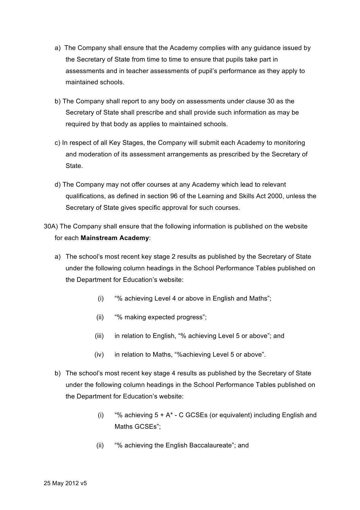- a) The Company shall ensure that the Academy complies with any guidance issued by the Secretary of State from time to time to ensure that pupils take part in assessments and in teacher assessments of pupil's performance as they apply to maintained schools.
- b) The Company shall report to any body on assessments under clause 30 as the Secretary of State shall prescribe and shall provide such information as may be required by that body as applies to maintained schools.
- c) In respect of all Key Stages, the Company will submit each Academy to monitoring and moderation of its assessment arrangements as prescribed by the Secretary of State.
- d) The Company may not offer courses at any Academy which lead to relevant qualifications, as defined in section 96 of the Learning and Skills Act 2000, unless the Secretary of State gives specific approval for such courses.
- 30A) The Company shall ensure that the following information is published on the website for each **Mainstream Academy**:
	- a) The school's most recent key stage 2 results as published by the Secretary of State under the following column headings in the School Performance Tables published on the Department for Education's website:
		- (i) "% achieving Level 4 or above in English and Maths";
		- (ii) "% making expected progress";
		- (iii) in relation to English, "% achieving Level 5 or above"; and
		- (iv) in relation to Maths, "%achieving Level 5 or above".
	- b) The school's most recent key stage 4 results as published by the Secretary of State under the following column headings in the School Performance Tables published on the Department for Education's website:
		- (i)  $\frac{1}{2}$  % achieving 5 + A\* C GCSEs (or equivalent) including English and Maths GCSEs";
		- (ii) "% achieving the English Baccalaureate"; and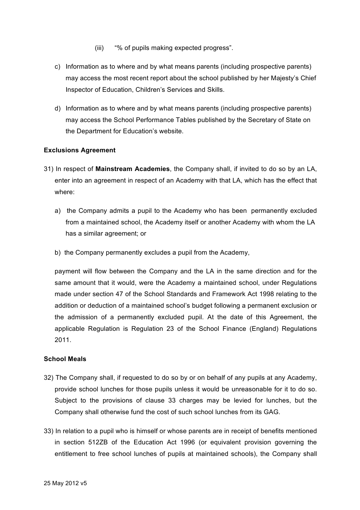- (iii) "% of pupils making expected progress".
- c) Information as to where and by what means parents (including prospective parents) may access the most recent report about the school published by her Majesty's Chief Inspector of Education, Children's Services and Skills.
- d) Information as to where and by what means parents (including prospective parents) may access the School Performance Tables published by the Secretary of State on the Department for Education's website.

#### **Exclusions Agreement**

- 31) In respect of **Mainstream Academies**, the Company shall, if invited to do so by an LA, enter into an agreement in respect of an Academy with that LA, which has the effect that where:
	- a) the Company admits a pupil to the Academy who has been permanently excluded from a maintained school, the Academy itself or another Academy with whom the LA has a similar agreement; or
	- b) the Company permanently excludes a pupil from the Academy,

payment will flow between the Company and the LA in the same direction and for the same amount that it would, were the Academy a maintained school, under Regulations made under section 47 of the School Standards and Framework Act 1998 relating to the addition or deduction of a maintained school's budget following a permanent exclusion or the admission of a permanently excluded pupil. At the date of this Agreement, the applicable Regulation is Regulation 23 of the School Finance (England) Regulations 2011.

#### **School Meals**

- 32) The Company shall, if requested to do so by or on behalf of any pupils at any Academy, provide school lunches for those pupils unless it would be unreasonable for it to do so. Subject to the provisions of clause 33 charges may be levied for lunches, but the Company shall otherwise fund the cost of such school lunches from its GAG.
- 33) In relation to a pupil who is himself or whose parents are in receipt of benefits mentioned in section 512ZB of the Education Act 1996 (or equivalent provision governing the entitlement to free school lunches of pupils at maintained schools), the Company shall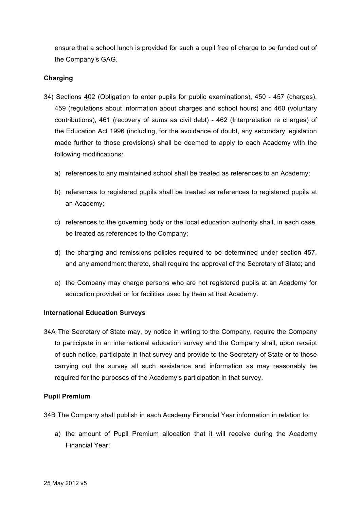ensure that a school lunch is provided for such a pupil free of charge to be funded out of the Company's GAG.

## **Charging**

- 34) Sections 402 (Obligation to enter pupils for public examinations), 450 457 (charges), 459 (regulations about information about charges and school hours) and 460 (voluntary contributions), 461 (recovery of sums as civil debt) - 462 (Interpretation re charges) of the Education Act 1996 (including, for the avoidance of doubt, any secondary legislation made further to those provisions) shall be deemed to apply to each Academy with the following modifications:
	- a) references to any maintained school shall be treated as references to an Academy;
	- b) references to registered pupils shall be treated as references to registered pupils at an Academy;
	- c) references to the governing body or the local education authority shall, in each case, be treated as references to the Company;
	- d) the charging and remissions policies required to be determined under section 457, and any amendment thereto, shall require the approval of the Secretary of State; and
	- e) the Company may charge persons who are not registered pupils at an Academy for education provided or for facilities used by them at that Academy.

## **International Education Surveys**

34A The Secretary of State may, by notice in writing to the Company, require the Company to participate in an international education survey and the Company shall, upon receipt of such notice, participate in that survey and provide to the Secretary of State or to those carrying out the survey all such assistance and information as may reasonably be required for the purposes of the Academy's participation in that survey.

## **Pupil Premium**

34B The Company shall publish in each Academy Financial Year information in relation to:

a) the amount of Pupil Premium allocation that it will receive during the Academy Financial Year;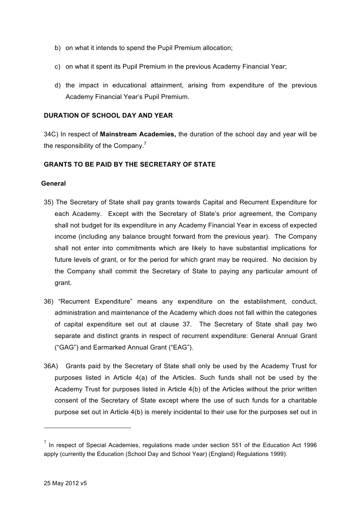- b) on what it intends to spend the Pupil Premium allocation;
- c) on what it spent its Pupil Premium in the previous Academy Financial Year;
- d) the impact in educational attainment, arising from expenditure of the previous Academy Financial Year's Pupil Premium.

#### **DURATION OF SCHOOL DAY AND YEAR**

34C) In respect of **Mainstream Academies,** the duration of the school day and year will be the responsibility of the Company.<sup>7</sup>

### **GRANTS TO BE PAID BY THE SECRETARY OF STATE**

## **General**

- 35) The Secretary of State shall pay grants towards Capital and Recurrent Expenditure for each Academy. Except with the Secretary of State's prior agreement, the Company shall not budget for its expenditure in any Academy Financial Year in excess of expected income (including any balance brought forward from the previous year). The Company shall not enter into commitments which are likely to have substantial implications for future levels of grant, or for the period for which grant may be required. No decision by the Company shall commit the Secretary of State to paying any particular amount of grant.
- 36) "Recurrent Expenditure" means any expenditure on the establishment, conduct, administration and maintenance of the Academy which does not fall within the categories of capital expenditure set out at clause 37. The Secretary of State shall pay two separate and distinct grants in respect of recurrent expenditure: General Annual Grant ("GAG") and Earmarked Annual Grant ("EAG").
- 36A) Grants paid by the Secretary of State shall only be used by the Academy Trust for purposes listed in Article 4(a) of the Articles. Such funds shall not be used by the Academy Trust for purposes listed in Article 4(b) of the Articles without the prior written consent of the Secretary of State except where the use of such funds for a charitable purpose set out in Article 4(b) is merely incidental to their use for the purposes set out in

 $\overline{a}$ 

 $<sup>7</sup>$  In respect of Special Academies, regulations made under section 551 of the Education Act 1996</sup> apply (currently the Education (School Day and School Year) (England) Regulations 1999).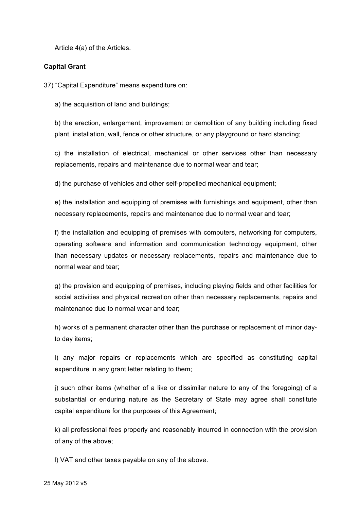Article 4(a) of the Articles.

## **Capital Grant**

37) "Capital Expenditure" means expenditure on:

a) the acquisition of land and buildings;

b) the erection, enlargement, improvement or demolition of any building including fixed plant, installation, wall, fence or other structure, or any playground or hard standing;

c) the installation of electrical, mechanical or other services other than necessary replacements, repairs and maintenance due to normal wear and tear;

d) the purchase of vehicles and other self-propelled mechanical equipment;

e) the installation and equipping of premises with furnishings and equipment, other than necessary replacements, repairs and maintenance due to normal wear and tear;

f) the installation and equipping of premises with computers, networking for computers, operating software and information and communication technology equipment, other than necessary updates or necessary replacements, repairs and maintenance due to normal wear and tear;

g) the provision and equipping of premises, including playing fields and other facilities for social activities and physical recreation other than necessary replacements, repairs and maintenance due to normal wear and tear;

h) works of a permanent character other than the purchase or replacement of minor dayto day items;

i) any major repairs or replacements which are specified as constituting capital expenditure in any grant letter relating to them;

j) such other items (whether of a like or dissimilar nature to any of the foregoing) of a substantial or enduring nature as the Secretary of State may agree shall constitute capital expenditure for the purposes of this Agreement;

k) all professional fees properly and reasonably incurred in connection with the provision of any of the above;

l) VAT and other taxes payable on any of the above.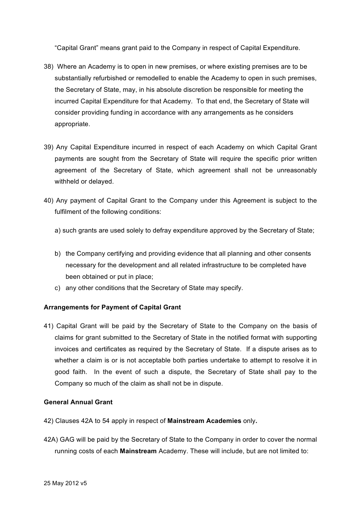"Capital Grant" means grant paid to the Company in respect of Capital Expenditure.

- 38) Where an Academy is to open in new premises, or where existing premises are to be substantially refurbished or remodelled to enable the Academy to open in such premises, the Secretary of State, may, in his absolute discretion be responsible for meeting the incurred Capital Expenditure for that Academy. To that end, the Secretary of State will consider providing funding in accordance with any arrangements as he considers appropriate.
- 39) Any Capital Expenditure incurred in respect of each Academy on which Capital Grant payments are sought from the Secretary of State will require the specific prior written agreement of the Secretary of State, which agreement shall not be unreasonably withheld or delayed.
- 40) Any payment of Capital Grant to the Company under this Agreement is subject to the fulfilment of the following conditions:
	- a) such grants are used solely to defray expenditure approved by the Secretary of State;
	- b) the Company certifying and providing evidence that all planning and other consents necessary for the development and all related infrastructure to be completed have been obtained or put in place;
	- c) any other conditions that the Secretary of State may specify.

# **Arrangements for Payment of Capital Grant**

41) Capital Grant will be paid by the Secretary of State to the Company on the basis of claims for grant submitted to the Secretary of State in the notified format with supporting invoices and certificates as required by the Secretary of State. If a dispute arises as to whether a claim is or is not acceptable both parties undertake to attempt to resolve it in good faith. In the event of such a dispute, the Secretary of State shall pay to the Company so much of the claim as shall not be in dispute.

## **General Annual Grant**

- 42) Clauses 42A to 54 apply in respect of **Mainstream Academies** only**.**
- 42A) GAG will be paid by the Secretary of State to the Company in order to cover the normal running costs of each **Mainstream** Academy. These will include, but are not limited to: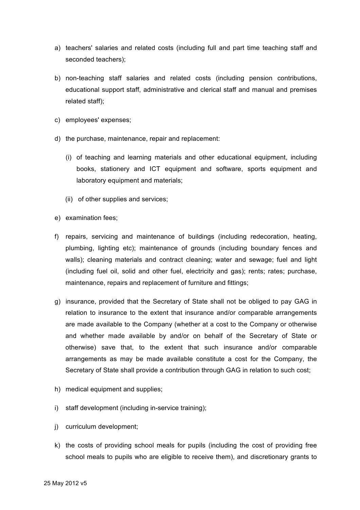- a) teachers' salaries and related costs (including full and part time teaching staff and seconded teachers);
- b) non-teaching staff salaries and related costs (including pension contributions, educational support staff, administrative and clerical staff and manual and premises related staff);
- c) employees' expenses;
- d) the purchase, maintenance, repair and replacement:
	- (i) of teaching and learning materials and other educational equipment, including books, stationery and ICT equipment and software, sports equipment and laboratory equipment and materials;
	- (ii) of other supplies and services;
- e) examination fees;
- f) repairs, servicing and maintenance of buildings (including redecoration, heating, plumbing, lighting etc); maintenance of grounds (including boundary fences and walls); cleaning materials and contract cleaning; water and sewage; fuel and light (including fuel oil, solid and other fuel, electricity and gas); rents; rates; purchase, maintenance, repairs and replacement of furniture and fittings;
- g) insurance, provided that the Secretary of State shall not be obliged to pay GAG in relation to insurance to the extent that insurance and/or comparable arrangements are made available to the Company (whether at a cost to the Company or otherwise and whether made available by and/or on behalf of the Secretary of State or otherwise) save that, to the extent that such insurance and/or comparable arrangements as may be made available constitute a cost for the Company, the Secretary of State shall provide a contribution through GAG in relation to such cost;
- h) medical equipment and supplies;
- i) staff development (including in-service training);
- i) curriculum development:
- k) the costs of providing school meals for pupils (including the cost of providing free school meals to pupils who are eligible to receive them), and discretionary grants to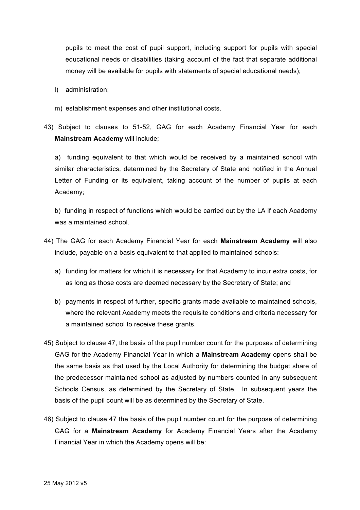pupils to meet the cost of pupil support, including support for pupils with special educational needs or disabilities (taking account of the fact that separate additional money will be available for pupils with statements of special educational needs);

- l) administration;
- m) establishment expenses and other institutional costs.
- 43) Subject to clauses to 51-52, GAG for each Academy Financial Year for each **Mainstream Academy** will include;

a) funding equivalent to that which would be received by a maintained school with similar characteristics, determined by the Secretary of State and notified in the Annual Letter of Funding or its equivalent, taking account of the number of pupils at each Academy;

b) funding in respect of functions which would be carried out by the LA if each Academy was a maintained school.

- 44) The GAG for each Academy Financial Year for each **Mainstream Academy** will also include, payable on a basis equivalent to that applied to maintained schools:
	- a) funding for matters for which it is necessary for that Academy to incur extra costs, for as long as those costs are deemed necessary by the Secretary of State; and
	- b) payments in respect of further, specific grants made available to maintained schools, where the relevant Academy meets the requisite conditions and criteria necessary for a maintained school to receive these grants.
- 45) Subject to clause 47, the basis of the pupil number count for the purposes of determining GAG for the Academy Financial Year in which a **Mainstream Academy** opens shall be the same basis as that used by the Local Authority for determining the budget share of the predecessor maintained school as adjusted by numbers counted in any subsequent Schools Census, as determined by the Secretary of State. In subsequent years the basis of the pupil count will be as determined by the Secretary of State.
- 46) Subject to clause 47 the basis of the pupil number count for the purpose of determining GAG for a **Mainstream Academy** for Academy Financial Years after the Academy Financial Year in which the Academy opens will be: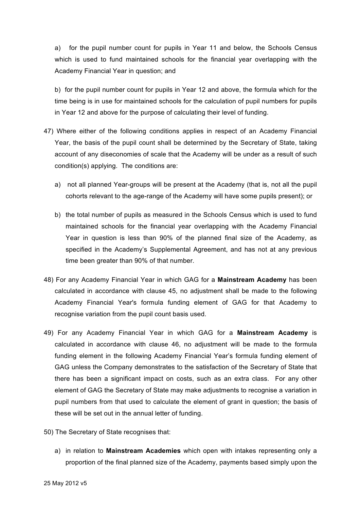a) for the pupil number count for pupils in Year 11 and below, the Schools Census which is used to fund maintained schools for the financial year overlapping with the Academy Financial Year in question; and

b) for the pupil number count for pupils in Year 12 and above, the formula which for the time being is in use for maintained schools for the calculation of pupil numbers for pupils in Year 12 and above for the purpose of calculating their level of funding.

- 47) Where either of the following conditions applies in respect of an Academy Financial Year, the basis of the pupil count shall be determined by the Secretary of State, taking account of any diseconomies of scale that the Academy will be under as a result of such condition(s) applying. The conditions are:
	- a) not all planned Year-groups will be present at the Academy (that is, not all the pupil cohorts relevant to the age-range of the Academy will have some pupils present); or
	- b) the total number of pupils as measured in the Schools Census which is used to fund maintained schools for the financial year overlapping with the Academy Financial Year in question is less than 90% of the planned final size of the Academy, as specified in the Academy's Supplemental Agreement, and has not at any previous time been greater than 90% of that number.
- 48) For any Academy Financial Year in which GAG for a **Mainstream Academy** has been calculated in accordance with clause 45, no adjustment shall be made to the following Academy Financial Year's formula funding element of GAG for that Academy to recognise variation from the pupil count basis used.
- 49) For any Academy Financial Year in which GAG for a **Mainstream Academy** is calculated in accordance with clause 46, no adjustment will be made to the formula funding element in the following Academy Financial Year's formula funding element of GAG unless the Company demonstrates to the satisfaction of the Secretary of State that there has been a significant impact on costs, such as an extra class. For any other element of GAG the Secretary of State may make adjustments to recognise a variation in pupil numbers from that used to calculate the element of grant in question; the basis of these will be set out in the annual letter of funding.
- 50) The Secretary of State recognises that:
	- a) in relation to **Mainstream Academies** which open with intakes representing only a proportion of the final planned size of the Academy, payments based simply upon the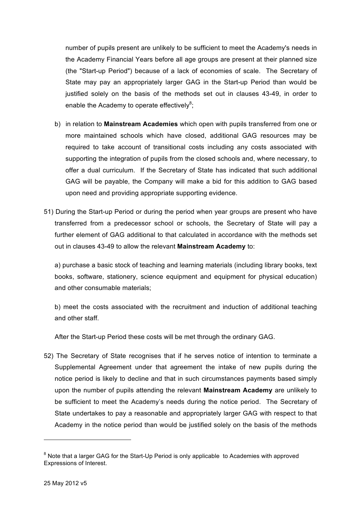number of pupils present are unlikely to be sufficient to meet the Academy's needs in the Academy Financial Years before all age groups are present at their planned size (the "Start-up Period") because of a lack of economies of scale. The Secretary of State may pay an appropriately larger GAG in the Start-up Period than would be justified solely on the basis of the methods set out in clauses 43-49, in order to enable the Academy to operate effectively $8$ ;

- b) in relation to **Mainstream Academies** which open with pupils transferred from one or more maintained schools which have closed, additional GAG resources may be required to take account of transitional costs including any costs associated with supporting the integration of pupils from the closed schools and, where necessary, to offer a dual curriculum. If the Secretary of State has indicated that such additional GAG will be payable, the Company will make a bid for this addition to GAG based upon need and providing appropriate supporting evidence.
- 51) During the Start-up Period or during the period when year groups are present who have transferred from a predecessor school or schools, the Secretary of State will pay a further element of GAG additional to that calculated in accordance with the methods set out in clauses 43-49 to allow the relevant **Mainstream Academy** to:

a) purchase a basic stock of teaching and learning materials (including library books, text books, software, stationery, science equipment and equipment for physical education) and other consumable materials;

b) meet the costs associated with the recruitment and induction of additional teaching and other staff.

After the Start-up Period these costs will be met through the ordinary GAG.

52) The Secretary of State recognises that if he serves notice of intention to terminate a Supplemental Agreement under that agreement the intake of new pupils during the notice period is likely to decline and that in such circumstances payments based simply upon the number of pupils attending the relevant **Mainstream Academy** are unlikely to be sufficient to meet the Academy's needs during the notice period. The Secretary of State undertakes to pay a reasonable and appropriately larger GAG with respect to that Academy in the notice period than would be justified solely on the basis of the methods

 $\overline{a}$ 

<sup>&</sup>lt;sup>8</sup> Note that a larger GAG for the Start-Up Period is only applicable to Academies with approved Expressions of Interest.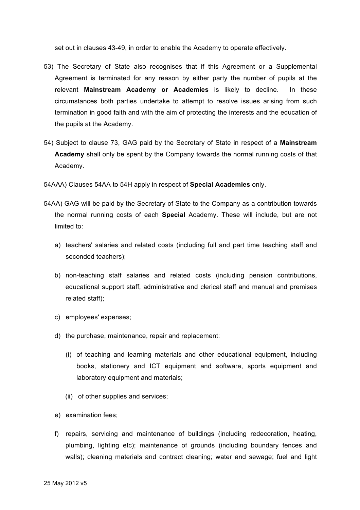set out in clauses 43-49, in order to enable the Academy to operate effectively.

- 53) The Secretary of State also recognises that if this Agreement or a Supplemental Agreement is terminated for any reason by either party the number of pupils at the relevant **Mainstream Academy or Academies** is likely to decline. In these circumstances both parties undertake to attempt to resolve issues arising from such termination in good faith and with the aim of protecting the interests and the education of the pupils at the Academy.
- 54) Subject to clause 73, GAG paid by the Secretary of State in respect of a **Mainstream Academy** shall only be spent by the Company towards the normal running costs of that Academy.

54AAA) Clauses 54AA to 54H apply in respect of **Special Academies** only.

- 54AA) GAG will be paid by the Secretary of State to the Company as a contribution towards the normal running costs of each **Special** Academy. These will include, but are not limited to:
	- a) teachers' salaries and related costs (including full and part time teaching staff and seconded teachers);
	- b) non-teaching staff salaries and related costs (including pension contributions, educational support staff, administrative and clerical staff and manual and premises related staff);
	- c) employees' expenses;
	- d) the purchase, maintenance, repair and replacement:
		- (i) of teaching and learning materials and other educational equipment, including books, stationery and ICT equipment and software, sports equipment and laboratory equipment and materials:
		- (ii) of other supplies and services;
	- e) examination fees;
	- f) repairs, servicing and maintenance of buildings (including redecoration, heating, plumbing, lighting etc); maintenance of grounds (including boundary fences and walls); cleaning materials and contract cleaning; water and sewage; fuel and light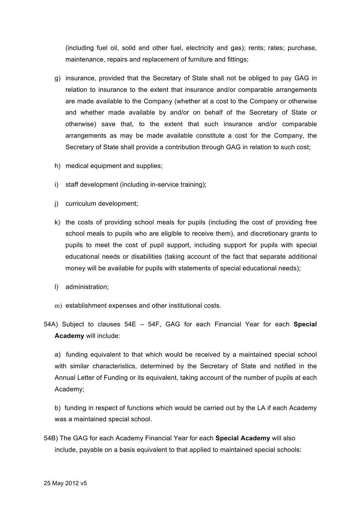(including fuel oil, solid and other fuel, electricity and gas); rents; rates; purchase, maintenance, repairs and replacement of furniture and fittings;

- g) insurance, provided that the Secretary of State shall not be obliged to pay GAG in relation to insurance to the extent that insurance and/or comparable arrangements are made available to the Company (whether at a cost to the Company or otherwise and whether made available by and/or on behalf of the Secretary of State or otherwise) save that, to the extent that such insurance and/or comparable arrangements as may be made available constitute a cost for the Company, the Secretary of State shall provide a contribution through GAG in relation to such cost;
- h) medical equipment and supplies;
- i) staff development (including in-service training);
- j) curriculum development;
- k) the costs of providing school meals for pupils (including the cost of providing free school meals to pupils who are eligible to receive them), and discretionary grants to pupils to meet the cost of pupil support, including support for pupils with special educational needs or disabilities (taking account of the fact that separate additional money will be available for pupils with statements of special educational needs);
- l) administration;
- m) establishment expenses and other institutional costs.
- 54A) Subject to clauses 54E 54F, GAG for each Financial Year for each **Special Academy** will include:

a) funding equivalent to that which would be received by a maintained special school with similar characteristics, determined by the Secretary of State and notified in the Annual Letter of Funding or its equivalent, taking account of the number of pupils at each Academy;

b) funding in respect of functions which would be carried out by the LA if each Academy was a maintained special school.

54B) The GAG for each Academy Financial Year for each **Special Academy** will also include, payable on a basis equivalent to that applied to maintained special schools: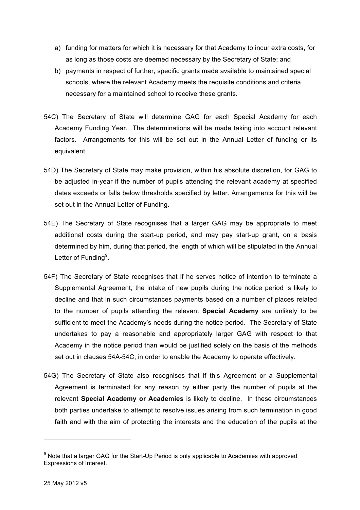- a) funding for matters for which it is necessary for that Academy to incur extra costs, for as long as those costs are deemed necessary by the Secretary of State; and
- b) payments in respect of further, specific grants made available to maintained special schools, where the relevant Academy meets the requisite conditions and criteria necessary for a maintained school to receive these grants.
- 54C) The Secretary of State will determine GAG for each Special Academy for each Academy Funding Year. The determinations will be made taking into account relevant factors. Arrangements for this will be set out in the Annual Letter of funding or its equivalent.
- 54D) The Secretary of State may make provision, within his absolute discretion, for GAG to be adjusted in-year if the number of pupils attending the relevant academy at specified dates exceeds or falls below thresholds specified by letter. Arrangements for this will be set out in the Annual Letter of Funding.
- 54E) The Secretary of State recognises that a larger GAG may be appropriate to meet additional costs during the start-up period, and may pay start-up grant, on a basis determined by him, during that period, the length of which will be stipulated in the Annual Letter of Funding<sup>9</sup>.
- 54F) The Secretary of State recognises that if he serves notice of intention to terminate a Supplemental Agreement, the intake of new pupils during the notice period is likely to decline and that in such circumstances payments based on a number of places related to the number of pupils attending the relevant **Special Academy** are unlikely to be sufficient to meet the Academy's needs during the notice period. The Secretary of State undertakes to pay a reasonable and appropriately larger GAG with respect to that Academy in the notice period than would be justified solely on the basis of the methods set out in clauses 54A-54C, in order to enable the Academy to operate effectively.
- 54G) The Secretary of State also recognises that if this Agreement or a Supplemental Agreement is terminated for any reason by either party the number of pupils at the relevant **Special Academy or Academies** is likely to decline. In these circumstances both parties undertake to attempt to resolve issues arising from such termination in good faith and with the aim of protecting the interests and the education of the pupils at the

 $\overline{a}$ 

 $9$  Note that a larger GAG for the Start-Up Period is only applicable to Academies with approved Expressions of Interest.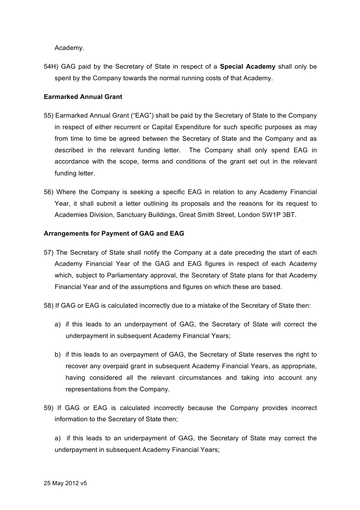Academy.

54H) GAG paid by the Secretary of State in respect of a **Special Academy** shall only be spent by the Company towards the normal running costs of that Academy.

#### **Earmarked Annual Grant**

- 55) Earmarked Annual Grant ("EAG") shall be paid by the Secretary of State to the Company in respect of either recurrent or Capital Expenditure for such specific purposes as may from time to time be agreed between the Secretary of State and the Company and as described in the relevant funding letter. The Company shall only spend EAG in accordance with the scope, terms and conditions of the grant set out in the relevant funding letter.
- 56) Where the Company is seeking a specific EAG in relation to any Academy Financial Year, it shall submit a letter outlining its proposals and the reasons for its request to Academies Division, Sanctuary Buildings, Great Smith Street, London SW1P 3BT.

#### **Arrangements for Payment of GAG and EAG**

- 57) The Secretary of State shall notify the Company at a date preceding the start of each Academy Financial Year of the GAG and EAG figures in respect of each Academy which, subject to Parliamentary approval, the Secretary of State plans for that Academy Financial Year and of the assumptions and figures on which these are based.
- 58) If GAG or EAG is calculated incorrectly due to a mistake of the Secretary of State then:
	- a) if this leads to an underpayment of GAG, the Secretary of State will correct the underpayment in subsequent Academy Financial Years;
	- b) if this leads to an overpayment of GAG, the Secretary of State reserves the right to recover any overpaid grant in subsequent Academy Financial Years, as appropriate, having considered all the relevant circumstances and taking into account any representations from the Company.
- 59) If GAG or EAG is calculated incorrectly because the Company provides incorrect information to the Secretary of State then;

a) if this leads to an underpayment of GAG, the Secretary of State may correct the underpayment in subsequent Academy Financial Years;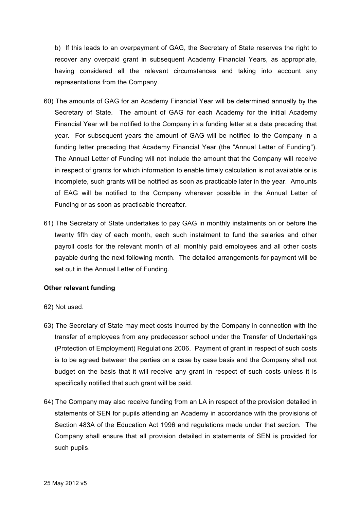b) If this leads to an overpayment of GAG, the Secretary of State reserves the right to recover any overpaid grant in subsequent Academy Financial Years, as appropriate, having considered all the relevant circumstances and taking into account any representations from the Company.

- 60) The amounts of GAG for an Academy Financial Year will be determined annually by the Secretary of State. The amount of GAG for each Academy for the initial Academy Financial Year will be notified to the Company in a funding letter at a date preceding that year. For subsequent years the amount of GAG will be notified to the Company in a funding letter preceding that Academy Financial Year (the "Annual Letter of Funding"). The Annual Letter of Funding will not include the amount that the Company will receive in respect of grants for which information to enable timely calculation is not available or is incomplete, such grants will be notified as soon as practicable later in the year. Amounts of EAG will be notified to the Company wherever possible in the Annual Letter of Funding or as soon as practicable thereafter.
- 61) The Secretary of State undertakes to pay GAG in monthly instalments on or before the twenty fifth day of each month, each such instalment to fund the salaries and other payroll costs for the relevant month of all monthly paid employees and all other costs payable during the next following month. The detailed arrangements for payment will be set out in the Annual Letter of Funding.

#### **Other relevant funding**

- 62) Not used.
- 63) The Secretary of State may meet costs incurred by the Company in connection with the transfer of employees from any predecessor school under the Transfer of Undertakings (Protection of Employment) Regulations 2006. Payment of grant in respect of such costs is to be agreed between the parties on a case by case basis and the Company shall not budget on the basis that it will receive any grant in respect of such costs unless it is specifically notified that such grant will be paid.
- 64) The Company may also receive funding from an LA in respect of the provision detailed in statements of SEN for pupils attending an Academy in accordance with the provisions of Section 483A of the Education Act 1996 and regulations made under that section. The Company shall ensure that all provision detailed in statements of SEN is provided for such pupils.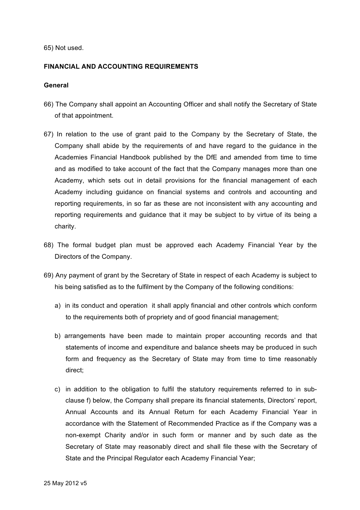65) Not used.

## **FINANCIAL AND ACCOUNTING REQUIREMENTS**

#### **General**

- 66) The Company shall appoint an Accounting Officer and shall notify the Secretary of State of that appointment.
- 67) In relation to the use of grant paid to the Company by the Secretary of State, the Company shall abide by the requirements of and have regard to the guidance in the Academies Financial Handbook published by the DfE and amended from time to time and as modified to take account of the fact that the Company manages more than one Academy, which sets out in detail provisions for the financial management of each Academy including guidance on financial systems and controls and accounting and reporting requirements, in so far as these are not inconsistent with any accounting and reporting requirements and guidance that it may be subject to by virtue of its being a charity.
- 68) The formal budget plan must be approved each Academy Financial Year by the Directors of the Company.
- 69) Any payment of grant by the Secretary of State in respect of each Academy is subject to his being satisfied as to the fulfilment by the Company of the following conditions:
	- a) in its conduct and operation it shall apply financial and other controls which conform to the requirements both of propriety and of good financial management;
	- b) arrangements have been made to maintain proper accounting records and that statements of income and expenditure and balance sheets may be produced in such form and frequency as the Secretary of State may from time to time reasonably direct;
	- c) in addition to the obligation to fulfil the statutory requirements referred to in subclause f) below, the Company shall prepare its financial statements, Directors' report, Annual Accounts and its Annual Return for each Academy Financial Year in accordance with the Statement of Recommended Practice as if the Company was a non-exempt Charity and/or in such form or manner and by such date as the Secretary of State may reasonably direct and shall file these with the Secretary of State and the Principal Regulator each Academy Financial Year;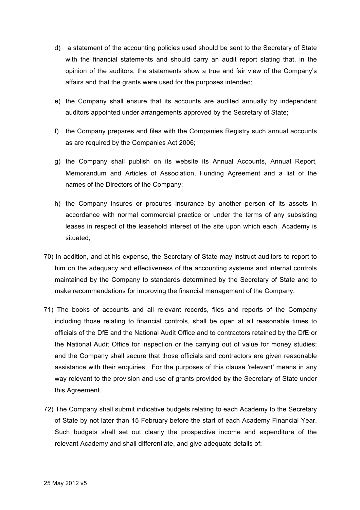- d) a statement of the accounting policies used should be sent to the Secretary of State with the financial statements and should carry an audit report stating that, in the opinion of the auditors, the statements show a true and fair view of the Company's affairs and that the grants were used for the purposes intended;
- e) the Company shall ensure that its accounts are audited annually by independent auditors appointed under arrangements approved by the Secretary of State;
- f) the Company prepares and files with the Companies Registry such annual accounts as are required by the Companies Act 2006;
- g) the Company shall publish on its website its Annual Accounts, Annual Report, Memorandum and Articles of Association, Funding Agreement and a list of the names of the Directors of the Company;
- h) the Company insures or procures insurance by another person of its assets in accordance with normal commercial practice or under the terms of any subsisting leases in respect of the leasehold interest of the site upon which each Academy is situated;
- 70) In addition, and at his expense, the Secretary of State may instruct auditors to report to him on the adequacy and effectiveness of the accounting systems and internal controls maintained by the Company to standards determined by the Secretary of State and to make recommendations for improving the financial management of the Company.
- 71) The books of accounts and all relevant records, files and reports of the Company including those relating to financial controls, shall be open at all reasonable times to officials of the DfE and the National Audit Office and to contractors retained by the DfE or the National Audit Office for inspection or the carrying out of value for money studies; and the Company shall secure that those officials and contractors are given reasonable assistance with their enquiries. For the purposes of this clause 'relevant' means in any way relevant to the provision and use of grants provided by the Secretary of State under this Agreement.
- 72) The Company shall submit indicative budgets relating to each Academy to the Secretary of State by not later than 15 February before the start of each Academy Financial Year. Such budgets shall set out clearly the prospective income and expenditure of the relevant Academy and shall differentiate, and give adequate details of: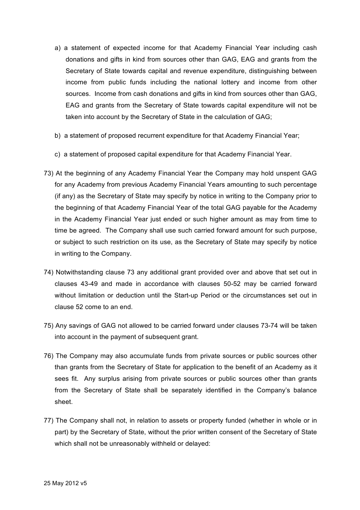- a) a statement of expected income for that Academy Financial Year including cash donations and gifts in kind from sources other than GAG, EAG and grants from the Secretary of State towards capital and revenue expenditure, distinguishing between income from public funds including the national lottery and income from other sources. Income from cash donations and gifts in kind from sources other than GAG, EAG and grants from the Secretary of State towards capital expenditure will not be taken into account by the Secretary of State in the calculation of GAG;
- b) a statement of proposed recurrent expenditure for that Academy Financial Year;
- c) a statement of proposed capital expenditure for that Academy Financial Year.
- 73) At the beginning of any Academy Financial Year the Company may hold unspent GAG for any Academy from previous Academy Financial Years amounting to such percentage (if any) as the Secretary of State may specify by notice in writing to the Company prior to the beginning of that Academy Financial Year of the total GAG payable for the Academy in the Academy Financial Year just ended or such higher amount as may from time to time be agreed. The Company shall use such carried forward amount for such purpose, or subject to such restriction on its use, as the Secretary of State may specify by notice in writing to the Company.
- 74) Notwithstanding clause 73 any additional grant provided over and above that set out in clauses 43-49 and made in accordance with clauses 50-52 may be carried forward without limitation or deduction until the Start-up Period or the circumstances set out in clause 52 come to an end.
- 75) Any savings of GAG not allowed to be carried forward under clauses 73-74 will be taken into account in the payment of subsequent grant.
- 76) The Company may also accumulate funds from private sources or public sources other than grants from the Secretary of State for application to the benefit of an Academy as it sees fit. Any surplus arising from private sources or public sources other than grants from the Secretary of State shall be separately identified in the Company's balance sheet.
- 77) The Company shall not, in relation to assets or property funded (whether in whole or in part) by the Secretary of State, without the prior written consent of the Secretary of State which shall not be unreasonably withheld or delayed: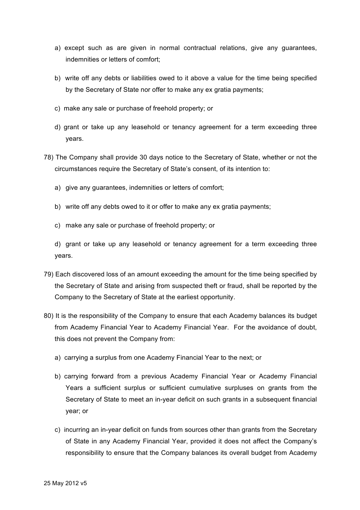- a) except such as are given in normal contractual relations, give any guarantees, indemnities or letters of comfort;
- b) write off any debts or liabilities owed to it above a value for the time being specified by the Secretary of State nor offer to make any ex gratia payments;
- c) make any sale or purchase of freehold property; or
- d) grant or take up any leasehold or tenancy agreement for a term exceeding three years.
- 78) The Company shall provide 30 days notice to the Secretary of State, whether or not the circumstances require the Secretary of State's consent, of its intention to:
	- a) give any guarantees, indemnities or letters of comfort;
	- b) write off any debts owed to it or offer to make any ex gratia payments;
	- c) make any sale or purchase of freehold property; or
	- d) grant or take up any leasehold or tenancy agreement for a term exceeding three years.
- 79) Each discovered loss of an amount exceeding the amount for the time being specified by the Secretary of State and arising from suspected theft or fraud, shall be reported by the Company to the Secretary of State at the earliest opportunity.
- 80) It is the responsibility of the Company to ensure that each Academy balances its budget from Academy Financial Year to Academy Financial Year. For the avoidance of doubt, this does not prevent the Company from:
	- a) carrying a surplus from one Academy Financial Year to the next; or
	- b) carrying forward from a previous Academy Financial Year or Academy Financial Years a sufficient surplus or sufficient cumulative surpluses on grants from the Secretary of State to meet an in-year deficit on such grants in a subsequent financial year; or
	- c) incurring an in-year deficit on funds from sources other than grants from the Secretary of State in any Academy Financial Year, provided it does not affect the Company's responsibility to ensure that the Company balances its overall budget from Academy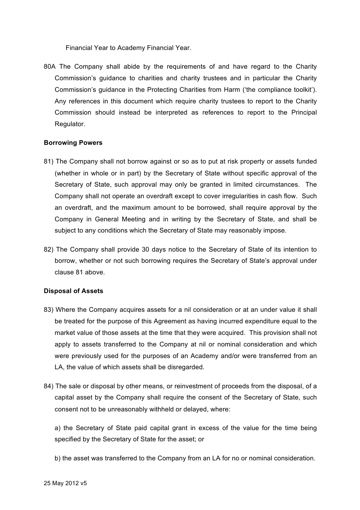Financial Year to Academy Financial Year.

80A The Company shall abide by the requirements of and have regard to the Charity Commission's guidance to charities and charity trustees and in particular the Charity Commission's guidance in the Protecting Charities from Harm ('the compliance toolkit'). Any references in this document which require charity trustees to report to the Charity Commission should instead be interpreted as references to report to the Principal Regulator.

#### **Borrowing Powers**

- 81) The Company shall not borrow against or so as to put at risk property or assets funded (whether in whole or in part) by the Secretary of State without specific approval of the Secretary of State, such approval may only be granted in limited circumstances. The Company shall not operate an overdraft except to cover irregularities in cash flow. Such an overdraft, and the maximum amount to be borrowed, shall require approval by the Company in General Meeting and in writing by the Secretary of State, and shall be subject to any conditions which the Secretary of State may reasonably impose.
- 82) The Company shall provide 30 days notice to the Secretary of State of its intention to borrow, whether or not such borrowing requires the Secretary of State's approval under clause 81 above.

## **Disposal of Assets**

- 83) Where the Company acquires assets for a nil consideration or at an under value it shall be treated for the purpose of this Agreement as having incurred expenditure equal to the market value of those assets at the time that they were acquired. This provision shall not apply to assets transferred to the Company at nil or nominal consideration and which were previously used for the purposes of an Academy and/or were transferred from an LA, the value of which assets shall be disregarded.
- 84) The sale or disposal by other means, or reinvestment of proceeds from the disposal, of a capital asset by the Company shall require the consent of the Secretary of State, such consent not to be unreasonably withheld or delayed, where:

a) the Secretary of State paid capital grant in excess of the value for the time being specified by the Secretary of State for the asset; or

b) the asset was transferred to the Company from an LA for no or nominal consideration.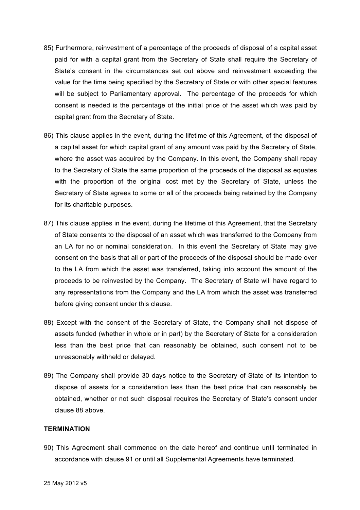- 85) Furthermore, reinvestment of a percentage of the proceeds of disposal of a capital asset paid for with a capital grant from the Secretary of State shall require the Secretary of State's consent in the circumstances set out above and reinvestment exceeding the value for the time being specified by the Secretary of State or with other special features will be subject to Parliamentary approval. The percentage of the proceeds for which consent is needed is the percentage of the initial price of the asset which was paid by capital grant from the Secretary of State.
- 86) This clause applies in the event, during the lifetime of this Agreement, of the disposal of a capital asset for which capital grant of any amount was paid by the Secretary of State, where the asset was acquired by the Company. In this event, the Company shall repay to the Secretary of State the same proportion of the proceeds of the disposal as equates with the proportion of the original cost met by the Secretary of State, unless the Secretary of State agrees to some or all of the proceeds being retained by the Company for its charitable purposes.
- 87) This clause applies in the event, during the lifetime of this Agreement, that the Secretary of State consents to the disposal of an asset which was transferred to the Company from an LA for no or nominal consideration. In this event the Secretary of State may give consent on the basis that all or part of the proceeds of the disposal should be made over to the LA from which the asset was transferred, taking into account the amount of the proceeds to be reinvested by the Company. The Secretary of State will have regard to any representations from the Company and the LA from which the asset was transferred before giving consent under this clause.
- 88) Except with the consent of the Secretary of State, the Company shall not dispose of assets funded (whether in whole or in part) by the Secretary of State for a consideration less than the best price that can reasonably be obtained, such consent not to be unreasonably withheld or delayed.
- 89) The Company shall provide 30 days notice to the Secretary of State of its intention to dispose of assets for a consideration less than the best price that can reasonably be obtained, whether or not such disposal requires the Secretary of State's consent under clause 88 above.

## **TERMINATION**

90) This Agreement shall commence on the date hereof and continue until terminated in accordance with clause 91 or until all Supplemental Agreements have terminated.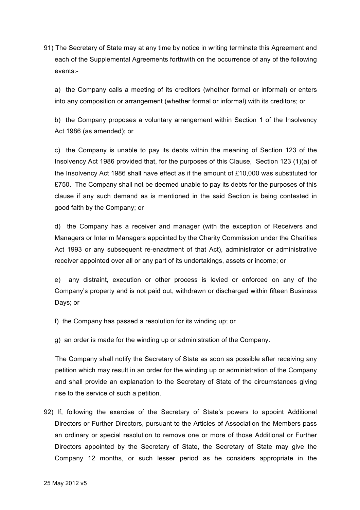91) The Secretary of State may at any time by notice in writing terminate this Agreement and each of the Supplemental Agreements forthwith on the occurrence of any of the following events:-

a) the Company calls a meeting of its creditors (whether formal or informal) or enters into any composition or arrangement (whether formal or informal) with its creditors; or

b) the Company proposes a voluntary arrangement within Section 1 of the Insolvency Act 1986 (as amended); or

c) the Company is unable to pay its debts within the meaning of Section 123 of the Insolvency Act 1986 provided that, for the purposes of this Clause, Section 123 (1)(a) of the Insolvency Act 1986 shall have effect as if the amount of £10,000 was substituted for £750. The Company shall not be deemed unable to pay its debts for the purposes of this clause if any such demand as is mentioned in the said Section is being contested in good faith by the Company; or

d) the Company has a receiver and manager (with the exception of Receivers and Managers or Interim Managers appointed by the Charity Commission under the Charities Act 1993 or any subsequent re-enactment of that Act), administrator or administrative receiver appointed over all or any part of its undertakings, assets or income; or

e) any distraint, execution or other process is levied or enforced on any of the Company's property and is not paid out, withdrawn or discharged within fifteen Business Days; or

f) the Company has passed a resolution for its winding up; or

g) an order is made for the winding up or administration of the Company.

The Company shall notify the Secretary of State as soon as possible after receiving any petition which may result in an order for the winding up or administration of the Company and shall provide an explanation to the Secretary of State of the circumstances giving rise to the service of such a petition.

92) If, following the exercise of the Secretary of State's powers to appoint Additional Directors or Further Directors, pursuant to the Articles of Association the Members pass an ordinary or special resolution to remove one or more of those Additional or Further Directors appointed by the Secretary of State, the Secretary of State may give the Company 12 months, or such lesser period as he considers appropriate in the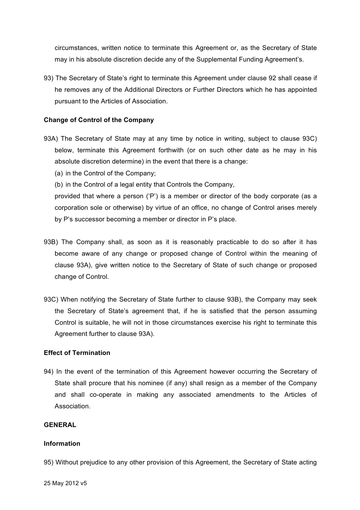circumstances, written notice to terminate this Agreement or, as the Secretary of State may in his absolute discretion decide any of the Supplemental Funding Agreement's.

93) The Secretary of State's right to terminate this Agreement under clause 92 shall cease if he removes any of the Additional Directors or Further Directors which he has appointed pursuant to the Articles of Association.

## **Change of Control of the Company**

- 93A) The Secretary of State may at any time by notice in writing, subject to clause 93C) below, terminate this Agreement forthwith (or on such other date as he may in his absolute discretion determine) in the event that there is a change:
	- (a) in the Control of the Company;
	- (b) in the Control of a legal entity that Controls the Company,

provided that where a person ('P') is a member or director of the body corporate (as a corporation sole or otherwise) by virtue of an office, no change of Control arises merely by P's successor becoming a member or director in P's place.

- 93B) The Company shall, as soon as it is reasonably practicable to do so after it has become aware of any change or proposed change of Control within the meaning of clause 93A), give written notice to the Secretary of State of such change or proposed change of Control.
- 93C) When notifying the Secretary of State further to clause 93B), the Company may seek the Secretary of State's agreement that, if he is satisfied that the person assuming Control is suitable, he will not in those circumstances exercise his right to terminate this Agreement further to clause 93A).

## **Effect of Termination**

94) In the event of the termination of this Agreement however occurring the Secretary of State shall procure that his nominee (if any) shall resign as a member of the Company and shall co-operate in making any associated amendments to the Articles of Association.

## **GENERAL**

#### **Information**

95) Without prejudice to any other provision of this Agreement, the Secretary of State acting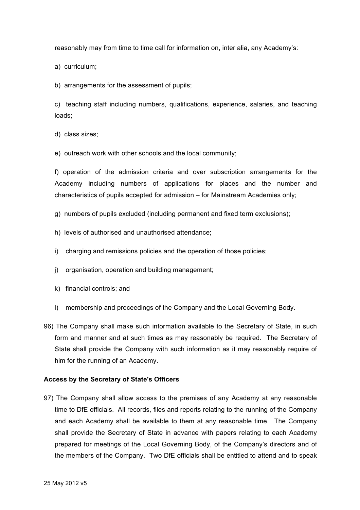reasonably may from time to time call for information on, inter alia, any Academy's:

a) curriculum;

b) arrangements for the assessment of pupils;

c) teaching staff including numbers, qualifications, experience, salaries, and teaching loads;

d) class sizes;

e) outreach work with other schools and the local community;

f) operation of the admission criteria and over subscription arrangements for the Academy including numbers of applications for places and the number and characteristics of pupils accepted for admission – for Mainstream Academies only;

g) numbers of pupils excluded (including permanent and fixed term exclusions);

- h) levels of authorised and unauthorised attendance;
- i) charging and remissions policies and the operation of those policies;
- j) organisation, operation and building management;
- k) financial controls; and
- l) membership and proceedings of the Company and the Local Governing Body.
- 96) The Company shall make such information available to the Secretary of State, in such form and manner and at such times as may reasonably be required. The Secretary of State shall provide the Company with such information as it may reasonably require of him for the running of an Academy.

#### **Access by the Secretary of State's Officers**

97) The Company shall allow access to the premises of any Academy at any reasonable time to DfE officials. All records, files and reports relating to the running of the Company and each Academy shall be available to them at any reasonable time. The Company shall provide the Secretary of State in advance with papers relating to each Academy prepared for meetings of the Local Governing Body, of the Company's directors and of the members of the Company. Two DfE officials shall be entitled to attend and to speak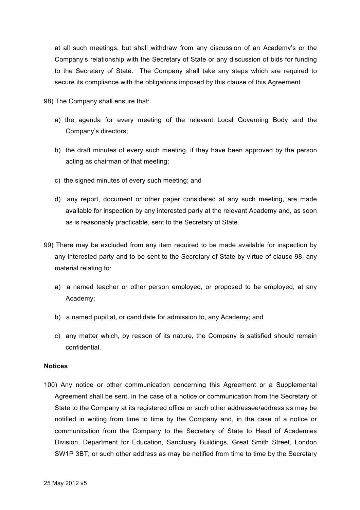at all such meetings, but shall withdraw from any discussion of an Academy's or the Company's relationship with the Secretary of State or any discussion of bids for funding to the Secretary of State. The Company shall take any steps which are required to secure its compliance with the obligations imposed by this clause of this Agreement.

98) The Company shall ensure that:

- a) the agenda for every meeting of the relevant Local Governing Body and the Company's directors;
- b) the draft minutes of every such meeting, if they have been approved by the person acting as chairman of that meeting;
- c) the signed minutes of every such meeting; and
- d) any report, document or other paper considered at any such meeting, are made available for inspection by any interested party at the relevant Academy and, as soon as is reasonably practicable, sent to the Secretary of State.
- 99) There may be excluded from any item required to be made available for inspection by any interested party and to be sent to the Secretary of State by virtue of clause 98, any material relating to:
	- a) a named teacher or other person employed, or proposed to be employed, at any Academy;
	- b) a named pupil at, or candidate for admission to, any Academy; and
	- c) any matter which, by reason of its nature, the Company is satisfied should remain confidential.

## **Notices**

100) Any notice or other communication concerning this Agreement or a Supplemental Agreement shall be sent, in the case of a notice or communication from the Secretary of State to the Company at its registered office or such other addressee/address as may be notified in writing from time to time by the Company and, in the case of a notice or communication from the Company to the Secretary of State to Head of Academies Division, Department for Education, Sanctuary Buildings, Great Smith Street, London SW1P 3BT; or such other address as may be notified from time to time by the Secretary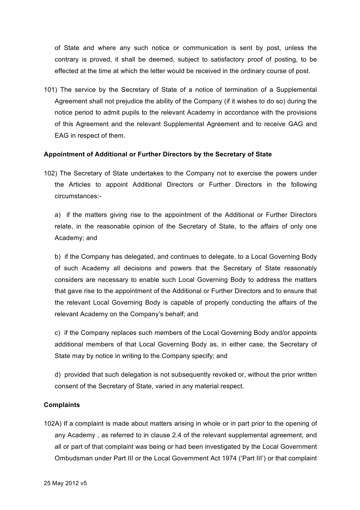of State and where any such notice or communication is sent by post, unless the contrary is proved, it shall be deemed, subject to satisfactory proof of posting, to be effected at the time at which the letter would be received in the ordinary course of post.

101) The service by the Secretary of State of a notice of termination of a Supplemental Agreement shall not prejudice the ability of the Company (if it wishes to do so) during the notice period to admit pupils to the relevant Academy in accordance with the provisions of this Agreement and the relevant Supplemental Agreement and to receive GAG and EAG in respect of them.

## **Appointment of Additional or Further Directors by the Secretary of State**

102) The Secretary of State undertakes to the Company not to exercise the powers under the Articles to appoint Additional Directors or Further Directors in the following circumstances:-

a) if the matters giving rise to the appointment of the Additional or Further Directors relate, in the reasonable opinion of the Secretary of State, to the affairs of only one Academy; and

b) if the Company has delegated, and continues to delegate, to a Local Governing Body of such Academy all decisions and powers that the Secretary of State reasonably considers are necessary to enable such Local Governing Body to address the matters that gave rise to the appointment of the Additional or Further Directors and to ensure that the relevant Local Governing Body is capable of properly conducting the affairs of the relevant Academy on the Company's behalf; and

c) if the Company replaces such members of the Local Governing Body and/or appoints additional members of that Local Governing Body as, in either case, the Secretary of State may by notice in writing to the Company specify; and

d) provided that such delegation is not subsequently revoked or, without the prior written consent of the Secretary of State, varied in any material respect.

## **Complaints**

102A) If a complaint is made about matters arising in whole or in part prior to the opening of any Academy , as referred to in clause 2.4 of the relevant supplemental agreement, and all or part of that complaint was being or had been investigated by the Local Government Ombudsman under Part III or the Local Government Act 1974 ('Part III') or that complaint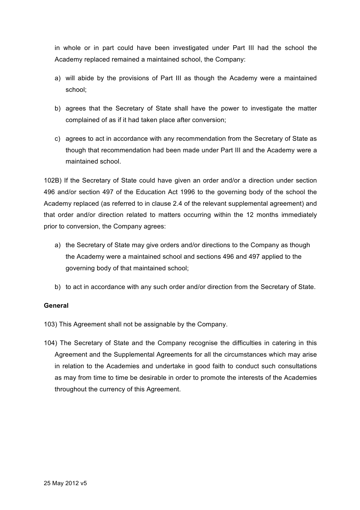in whole or in part could have been investigated under Part III had the school the Academy replaced remained a maintained school, the Company:

- a) will abide by the provisions of Part III as though the Academy were a maintained school;
- b) agrees that the Secretary of State shall have the power to investigate the matter complained of as if it had taken place after conversion;
- c) agrees to act in accordance with any recommendation from the Secretary of State as though that recommendation had been made under Part III and the Academy were a maintained school.

102B) If the Secretary of State could have given an order and/or a direction under section 496 and/or section 497 of the Education Act 1996 to the governing body of the school the Academy replaced (as referred to in clause 2.4 of the relevant supplemental agreement) and that order and/or direction related to matters occurring within the 12 months immediately prior to conversion, the Company agrees:

- a) the Secretary of State may give orders and/or directions to the Company as though the Academy were a maintained school and sections 496 and 497 applied to the governing body of that maintained school;
- b) to act in accordance with any such order and/or direction from the Secretary of State.

# **General**

103) This Agreement shall not be assignable by the Company.

104) The Secretary of State and the Company recognise the difficulties in catering in this Agreement and the Supplemental Agreements for all the circumstances which may arise in relation to the Academies and undertake in good faith to conduct such consultations as may from time to time be desirable in order to promote the interests of the Academies throughout the currency of this Agreement.